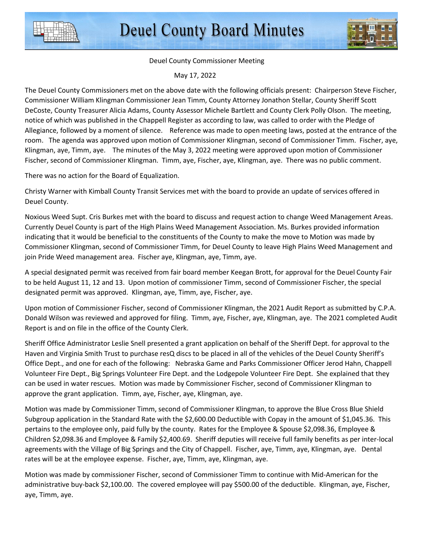

Deuel County Commissioner Meeting

May 17, 2022

The Deuel County Commissioners met on the above date with the following officials present: Chairperson Steve Fischer, Commissioner William Klingman Commissioner Jean Timm, County Attorney Jonathon Stellar, County Sheriff Scott DeCoste, County Treasurer Alicia Adams, County Assessor Michele Bartlett and County Clerk Polly Olson. The meeting, notice of which was published in the Chappell Register as according to law, was called to order with the Pledge of Allegiance, followed by a moment of silence. Reference was made to open meeting laws, posted at the entrance of the room. The agenda was approved upon motion of Commissioner Klingman, second of Commissioner Timm. Fischer, aye, Klingman, aye, Timm, aye. The minutes of the May 3, 2022 meeting were approved upon motion of Commissioner Fischer, second of Commissioner Klingman. Timm, aye, Fischer, aye, Klingman, aye. There was no public comment.

There was no action for the Board of Equalization.

Christy Warner with Kimball County Transit Services met with the board to provide an update of services offered in Deuel County.

Noxious Weed Supt. Cris Burkes met with the board to discuss and request action to change Weed Management Areas. Currently Deuel County is part of the High Plains Weed Management Association. Ms. Burkes provided information indicating that it would be beneficial to the constituents of the County to make the move to Motion was made by Commissioner Klingman, second of Commissioner Timm, for Deuel County to leave High Plains Weed Management and join Pride Weed management area. Fischer aye, Klingman, aye, Timm, aye.

A special designated permit was received from fair board member Keegan Brott, for approval for the Deuel County Fair to be held August 11, 12 and 13. Upon motion of commissioner Timm, second of Commissioner Fischer, the special designated permit was approved. Klingman, aye, Timm, aye, Fischer, aye.

Upon motion of Commissioner Fischer, second of Commissioner Klingman, the 2021 Audit Report as submitted by C.P.A. Donald Wilson was reviewed and approved for filing. Timm, aye, Fischer, aye, Klingman, aye. The 2021 completed Audit Report is and on file in the office of the County Clerk.

Sheriff Office Administrator Leslie Snell presented a grant application on behalf of the Sheriff Dept. for approval to the Haven and Virginia Smith Trust to purchase resQ discs to be placed in all of the vehicles of the Deuel County Sheriff's Office Dept., and one for each of the following: Nebraska Game and Parks Commissioner Officer Jerod Hahn, Chappell Volunteer Fire Dept., Big Springs Volunteer Fire Dept. and the Lodgepole Volunteer Fire Dept. She explained that they can be used in water rescues. Motion was made by Commissioner Fischer, second of Commissioner Klingman to approve the grant application. Timm, aye, Fischer, aye, Klingman, aye.

Motion was made by Commissioner Timm, second of Commissioner Klingman, to approve the Blue Cross Blue Shield Subgroup application in the Standard Rate with the \$2,600.00 Deductible with Copay in the amount of \$1,045.36. This pertains to the employee only, paid fully by the county. Rates for the Employee & Spouse \$2,098.36, Employee & Children \$2,098.36 and Employee & Family \$2,400.69. Sheriff deputies will receive full family benefits as per inter-local agreements with the Village of Big Springs and the City of Chappell. Fischer, aye, Timm, aye, Klingman, aye. Dental rates will be at the employee expense. Fischer, aye, Timm, aye, Klingman, aye.

Motion was made by commissioner Fischer, second of Commissioner Timm to continue with Mid-American for the administrative buy-back \$2,100.00. The covered employee will pay \$500.00 of the deductible. Klingman, aye, Fischer, aye, Timm, aye.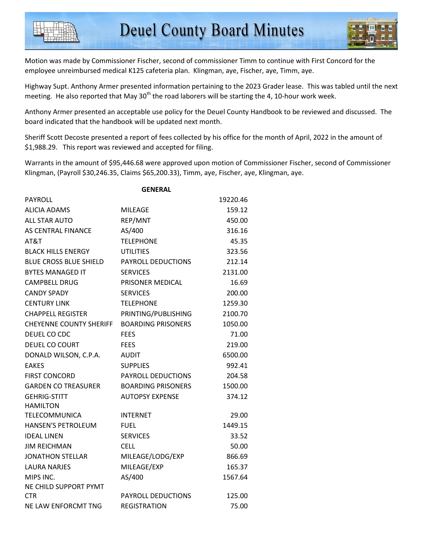Motion was made by Commissioner Fischer, second of commissioner Timm to continue with First Concord for the employee unreimbursed medical K125 cafeteria plan. Klingman, aye, Fischer, aye, Timm, aye.

Highway Supt. Anthony Armer presented information pertaining to the 2023 Grader lease. This was tabled until the next meeting. He also reported that May  $30<sup>th</sup>$  the road laborers will be starting the 4, 10-hour work week.

Anthony Armer presented an acceptable use policy for the Deuel County Handbook to be reviewed and discussed. The board indicated that the handbook will be updated next month.

Sheriff Scott Decoste presented a report of fees collected by his office for the month of April, 2022 in the amount of \$1,988.29. This report was reviewed and accepted for filing.

Warrants in the amount of \$95,446.68 were approved upon motion of Commissioner Fischer, second of Commissioner Klingman, (Payroll \$30,246.35, Claims \$65,200.33), Timm, aye, Fischer, aye, Klingman, aye.

|                                | <b>GENERAL</b>            |          |
|--------------------------------|---------------------------|----------|
| <b>PAYROLL</b>                 |                           | 19220.46 |
| <b>ALICIA ADAMS</b>            | MILEAGE                   | 159.12   |
| ALL STAR AUTO                  | REP/MNT                   | 450.00   |
| AS CENTRAL FINANCE             | AS/400                    | 316.16   |
| AT&T                           | <b>TELEPHONE</b>          | 45.35    |
| <b>BLACK HILLS ENERGY</b>      | UTILITIES                 | 323.56   |
| <b>BLUE CROSS BLUE SHIELD</b>  | PAYROLL DEDUCTIONS        | 212.14   |
| <b>BYTES MANAGED IT</b>        | <b>SERVICES</b>           | 2131.00  |
| <b>CAMPBELL DRUG</b>           | PRISONER MEDICAL          | 16.69    |
| <b>CANDY SPADY</b>             | <b>SERVICES</b>           | 200.00   |
| <b>CENTURY LINK</b>            | <b>TELEPHONE</b>          | 1259.30  |
| CHAPPELL REGISTER              | PRINTING/PUBLISHING       | 2100.70  |
| <b>CHEYENNE COUNTY SHERIFF</b> | <b>BOARDING PRISONERS</b> | 1050.00  |
| DEUEL CO CDC                   | <b>FEES</b>               | 71.00    |
| DEUEL CO COURT                 | FEES                      | 219.00   |
| DONALD WILSON, C.P.A.          | <b>AUDIT</b>              | 6500.00  |
| <b>EAKES</b>                   | <b>SUPPLIES</b>           | 992.41   |
| <b>FIRST CONCORD</b>           | <b>PAYROLL DEDUCTIONS</b> | 204.58   |
| <b>GARDEN CO TREASURER</b>     | <b>BOARDING PRISONERS</b> | 1500.00  |
| <b>GEHRIG-STITT</b>            | AUTOPSY EXPENSE           | 374.12   |
| <b>HAMILTON</b>                |                           |          |
| TELECOMMUNICA                  | <b>INTERNET</b>           | 29.00    |
| <b>HANSEN'S PETROLEUM</b>      | FUEL                      | 1449.15  |
| <b>IDEAL LINEN</b>             | <b>SERVICES</b>           | 33.52    |
| <b>JIM REICHMAN</b>            | <b>CELL</b>               | 50.00    |
| <b>JONATHON STELLAR</b>        | MILEAGE/LODG/EXP          | 866.69   |
| LAURA NARJES                   | MILEAGE/EXP               | 165.37   |
| MIPS INC.                      | AS/400                    | 1567.64  |
| NE CHILD SUPPORT PYMT          |                           |          |
| <b>CTR</b>                     | <b>PAYROLL DEDUCTIONS</b> | 125.00   |
| NE LAW ENFORCMT TNG            | <b>REGISTRATION</b>       | 75.00    |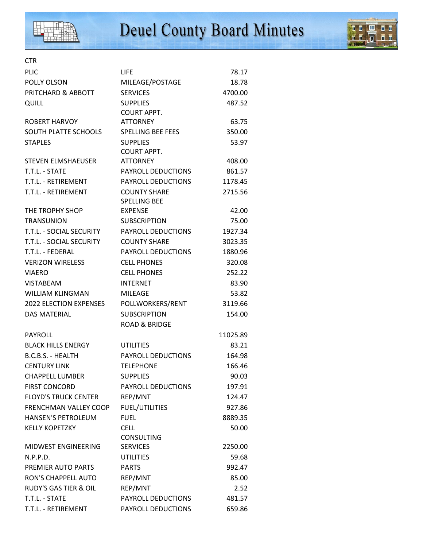



## CTR PLIC **DETERMINE THE RELATION CONTROL**IFE **78.17** POLLY OLSON MILEAGE/POSTAGE 18.78 PRITCHARD & ABBOTT SERVICES 4700.00 QUILL **SUPPLIES** 487.52

|                                  | <b>COURT APPT.</b>        |          |
|----------------------------------|---------------------------|----------|
| <b>ROBERT HARVOY</b>             | <b>ATTORNEY</b>           | 63.75    |
| SOUTH PLATTE SCHOOLS             | <b>SPELLING BEE FEES</b>  | 350.00   |
| <b>STAPLES</b>                   | <b>SUPPLIES</b>           | 53.97    |
|                                  | <b>COURT APPT.</b>        |          |
| STEVEN ELMSHAEUSER               | <b>ATTORNEY</b>           | 408.00   |
| T.T.L. - STATE                   | PAYROLL DEDUCTIONS        | 861.57   |
| T.T.L. - RETIREMENT              | PAYROLL DEDUCTIONS        | 1178.45  |
| T.T.L. - RETIREMENT              | <b>COUNTY SHARE</b>       | 2715.56  |
|                                  | <b>SPELLING BEE</b>       |          |
| THE TROPHY SHOP                  | <b>EXPENSE</b>            | 42.00    |
| <b>TRANSUNION</b>                | <b>SUBSCRIPTION</b>       | 75.00    |
| T.T.L. - SOCIAL SECURITY         | PAYROLL DEDUCTIONS        | 1927.34  |
| T.T.L. - SOCIAL SECURITY         | <b>COUNTY SHARE</b>       | 3023.35  |
| T.T.L. - FEDERAL                 | <b>PAYROLL DEDUCTIONS</b> | 1880.96  |
| <b>VERIZON WIRELESS</b>          | <b>CELL PHONES</b>        | 320.08   |
| <b>VIAERO</b>                    | <b>CELL PHONES</b>        | 252.22   |
| <b>VISTABEAM</b>                 | <b>INTERNET</b>           | 83.90    |
| <b>WILLIAM KLINGMAN</b>          | <b>MILEAGE</b>            | 53.82    |
| <b>2022 ELECTION EXPENSES</b>    | POLLWORKERS/RENT          | 3119.66  |
| <b>DAS MATERIAL</b>              | <b>SUBSCRIPTION</b>       | 154.00   |
|                                  | <b>ROAD &amp; BRIDGE</b>  |          |
| PAYROLL                          |                           | 11025.89 |
| <b>BLACK HILLS ENERGY</b>        | <b>UTILITIES</b>          | 83.21    |
| B.C.B.S. - HEALTH                | PAYROLL DEDUCTIONS        | 164.98   |
| <b>CENTURY LINK</b>              | <b>TELEPHONE</b>          | 166.46   |
| <b>CHAPPELL LUMBER</b>           | <b>SUPPLIES</b>           | 90.03    |
| <b>FIRST CONCORD</b>             | PAYROLL DEDUCTIONS        | 197.91   |
| <b>FLOYD'S TRUCK CENTER</b>      | REP/MNT                   | 124.47   |
| FRENCHMAN VALLEY COOP            | <b>FUEL/UTILITIES</b>     | 927.86   |
| HANSEN'S PETROLEUM               | <b>FUEL</b>               | 8889.35  |
| <b>KELLY KOPETZKY</b>            | <b>CELL</b>               | 50.00    |
|                                  | <b>CONSULTING</b>         |          |
| MIDWEST ENGINEERING              | <b>SERVICES</b>           | 2250.00  |
| N.P.P.D.                         | <b>UTILITIES</b>          | 59.68    |
| PREMIER AUTO PARTS               | <b>PARTS</b>              | 992.47   |
| <b>RON'S CHAPPELL AUTO</b>       | REP/MNT                   | 85.00    |
| <b>RUDY'S GAS TIER &amp; OIL</b> | REP/MNT                   | 2.52     |
| T.T.L. - STATE                   | PAYROLL DEDUCTIONS        | 481.57   |
| T.T.L. - RETIREMENT              | PAYROLL DEDUCTIONS        | 659.86   |